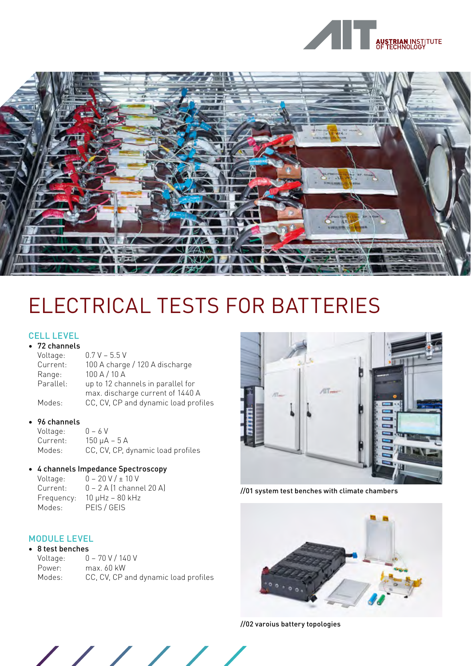



# ELECTRICAL TESTS FOR BATTERIES

#### CELL LEVEL • 72 channels

| 72 channels |                                      |
|-------------|--------------------------------------|
| Voltage:    | $0.7 V - 5.5 V$                      |
| Current:    | 100 A charge / 120 A discharge       |
| Range:      | 100 A / 10 A                         |
| Parallel:   | up to 12 channels in parallel for    |
|             | max. discharge current of 1440 A     |
| Modes:      | CC, CV, CP and dynamic load profiles |

### • 96 channels

Voltage: 0 – 6 V<br>Current: 150 µA  $150 \mu A - 5 A$ Modes: CC, CV, CP, dynamic load profiles

#### • 4 channels Impedance Spectroscopy Voltage:  $0 - 20 \text{ V}$  /  $\div$  10 V

| .          | <u> COIL AIR</u>             |
|------------|------------------------------|
| Current:   | $0 - 2$ A (1 channel 20 A)   |
| Frequency: | $10 \mu$ Hz – $80 \kappa$ Hz |
| Modes:     | PEIS / GEIS                  |
|            |                              |

## MODULE LEVEL

| 8 test benches |                                      |
|----------------|--------------------------------------|
| Voltage:       | $0 - 70$ V / 140 V                   |
| Power:         | max. 60 kW                           |
| Modes:         | CC, CV, CP and dynamic load profiles |



//01 system test benches with climate chambers



//02 varoius battery topologies